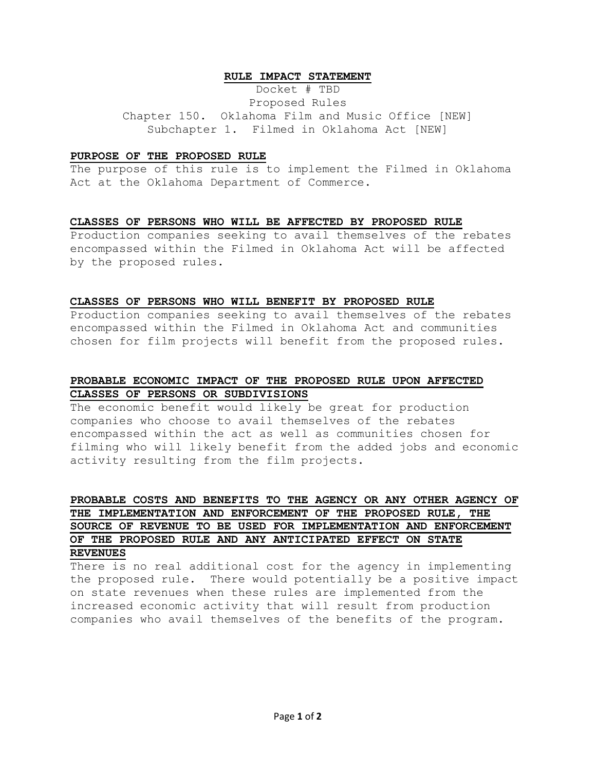#### **RULE IMPACT STATEMENT**

Docket # TBD Proposed Rules Chapter 150. Oklahoma Film and Music Office [NEW] Subchapter 1. Filmed in Oklahoma Act [NEW]

#### **PURPOSE OF THE PROPOSED RULE**

The purpose of this rule is to implement the Filmed in Oklahoma Act at the Oklahoma Department of Commerce.

#### **CLASSES OF PERSONS WHO WILL BE AFFECTED BY PROPOSED RULE**

Production companies seeking to avail themselves of the rebates encompassed within the Filmed in Oklahoma Act will be affected by the proposed rules.

#### **CLASSES OF PERSONS WHO WILL BENEFIT BY PROPOSED RULE**

Production companies seeking to avail themselves of the rebates encompassed within the Filmed in Oklahoma Act and communities chosen for film projects will benefit from the proposed rules.

## **PROBABLE ECONOMIC IMPACT OF THE PROPOSED RULE UPON AFFECTED CLASSES OF PERSONS OR SUBDIVISIONS**

The economic benefit would likely be great for production companies who choose to avail themselves of the rebates encompassed within the act as well as communities chosen for filming who will likely benefit from the added jobs and economic activity resulting from the film projects.

# **PROBABLE COSTS AND BENEFITS TO THE AGENCY OR ANY OTHER AGENCY OF THE IMPLEMENTATION AND ENFORCEMENT OF THE PROPOSED RULE, THE SOURCE OF REVENUE TO BE USED FOR IMPLEMENTATION AND ENFORCEMENT OF THE PROPOSED RULE AND ANY ANTICIPATED EFFECT ON STATE REVENUES**

There is no real additional cost for the agency in implementing the proposed rule. There would potentially be a positive impact on state revenues when these rules are implemented from the increased economic activity that will result from production companies who avail themselves of the benefits of the program.